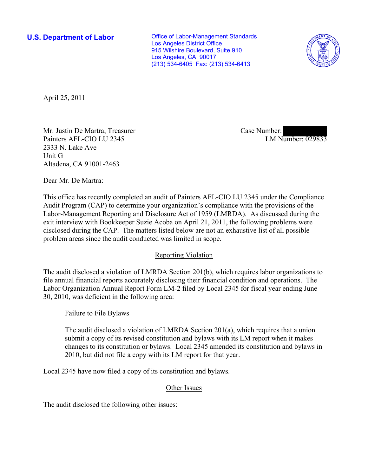**U.S. Department of Labor Conservative Conservative Conservative Conservative Conservative Conservative Conservative Conservative Conservative Conservative Conservative Conservative Conservative Conservative Conservative** Los Angeles District Office 915 Wilshire Boulevard, Suite 910 Los Angeles, CA 90017 (213) 534-6405 Fax: (213) 534-6413



April 25, 2011

Mr. Justin De Martra, Treasurer Painters AFL-CIO LU 2345 2333 N. Lake Ave Unit G Altadena, CA 91001-2463

Case Number: LM Number: 029833

Dear Mr. De Martra:

This office has recently completed an audit of Painters AFL-CIO LU 2345 under the Compliance Audit Program (CAP) to determine your organization's compliance with the provisions of the Labor-Management Reporting and Disclosure Act of 1959 (LMRDA). As discussed during the exit interview with Bookkeeper Suzie Acoba on April 21, 2011, the following problems were disclosed during the CAP. The matters listed below are not an exhaustive list of all possible problem areas since the audit conducted was limited in scope.

## Reporting Violation

The audit disclosed a violation of LMRDA Section 201(b), which requires labor organizations to file annual financial reports accurately disclosing their financial condition and operations. The Labor Organization Annual Report Form LM-2 filed by Local 2345 for fiscal year ending June 30, 2010, was deficient in the following area:

Failure to File Bylaws

The audit disclosed a violation of LMRDA Section 201(a), which requires that a union submit a copy of its revised constitution and bylaws with its LM report when it makes changes to its constitution or bylaws. Local 2345 amended its constitution and bylaws in 2010, but did not file a copy with its LM report for that year.

Local 2345 have now filed a copy of its constitution and bylaws.

## Other Issues

The audit disclosed the following other issues: